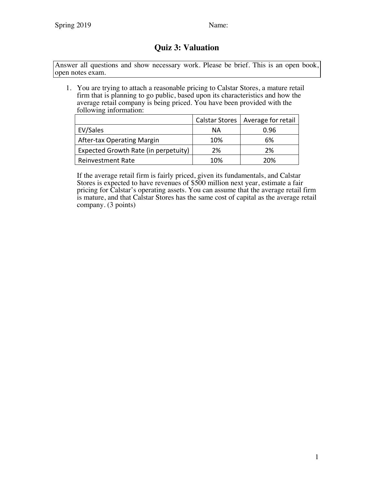## **Quiz 3: Valuation**

Answer all questions and show necessary work. Please be brief. This is an open book, open notes exam.

1. You are trying to attach a reasonable pricing to Calstar Stores, a mature retail firm that is planning to go public, based upon its characteristics and how the average retail company is being priced. You have been provided with the following information:

|                                      |     | Calstar Stores   Average for retail |
|--------------------------------------|-----|-------------------------------------|
| EV/Sales                             | ΝA  | 0.96                                |
| <b>After-tax Operating Margin</b>    | 10% | 6%                                  |
| Expected Growth Rate (in perpetuity) | 2%  | 2%                                  |
| <b>Reinvestment Rate</b>             | 10% | 20%                                 |

If the average retail firm is fairly priced, given its fundamentals, and Calstar Stores is expected to have revenues of \$500 million next year, estimate a fair pricing for Calstar's operating assets. You can assume that the average retail firm is mature, and that Calstar Stores has the same cost of capital as the average retail company. (3 points)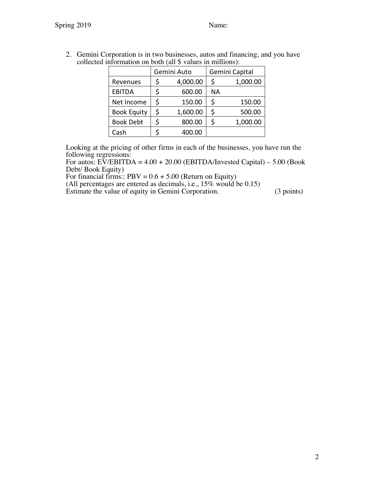| ni ormaan on oomi (an o anaoo in miniono). |             |          |                |          |  |  |  |  |
|--------------------------------------------|-------------|----------|----------------|----------|--|--|--|--|
|                                            | Gemini Auto |          | Gemini Capital |          |  |  |  |  |
| Revenues                                   |             | 4,000.00 | \$             | 1,000.00 |  |  |  |  |
| <b>EBITDA</b>                              | Ş           | 600.00   | <b>NA</b>      |          |  |  |  |  |
| Net Income                                 | \$          | 150.00   | \$             | 150.00   |  |  |  |  |
| <b>Book Equity</b>                         | \$          | 1,600.00 | \$             | 500.00   |  |  |  |  |
| <b>Book Debt</b>                           |             | 800.00   | \$             | 1,000.00 |  |  |  |  |
| Cash                                       |             | 400.00   |                |          |  |  |  |  |

2. Gemini Corporation is in two businesses, autos and financing, and you have collected information on both (all \$ values in millions):

Looking at the pricing of other firms in each of the businesses, you have run the following regressions:

For autos:  $E\overline{V}/EBITDA = 4.00 + 20.00$  (EBITDA/Invested Capital) – 5.00 (Book Debt/ Book Equity)

For financial firms::  $PBV = 0.6 + 5.00$  (Return on Equity)

(All percentages are entered as decimals, i.e., 15% would be 0.15)

Estimate the value of equity in Gemini Corporation. (3 points)